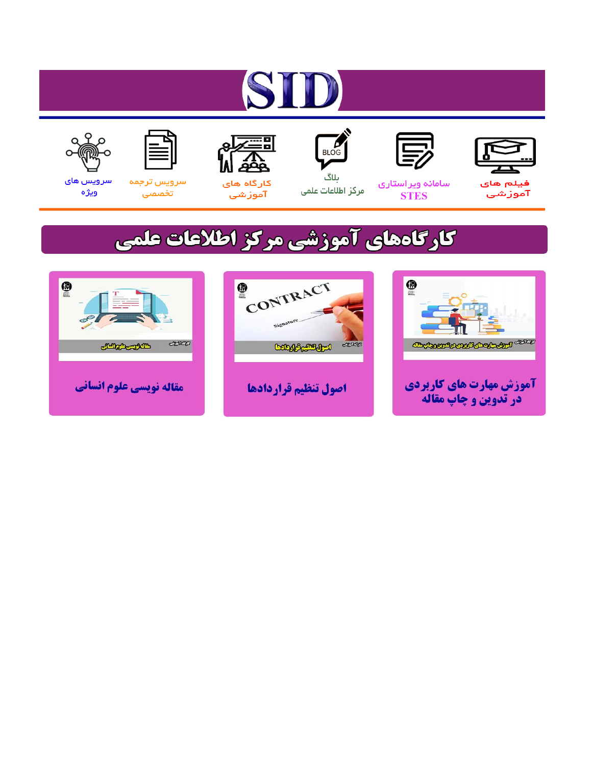# ST











مرکز اطلاعات علمی

 $\frac{1}{\sqrt{\frac{1}{100}}}$ ىلاگ



آموزشي

空

سرويس ترجمه تخصصى



سرویس های ويژه

## كارگاههای آموزشی مركز اطلاعات علمی





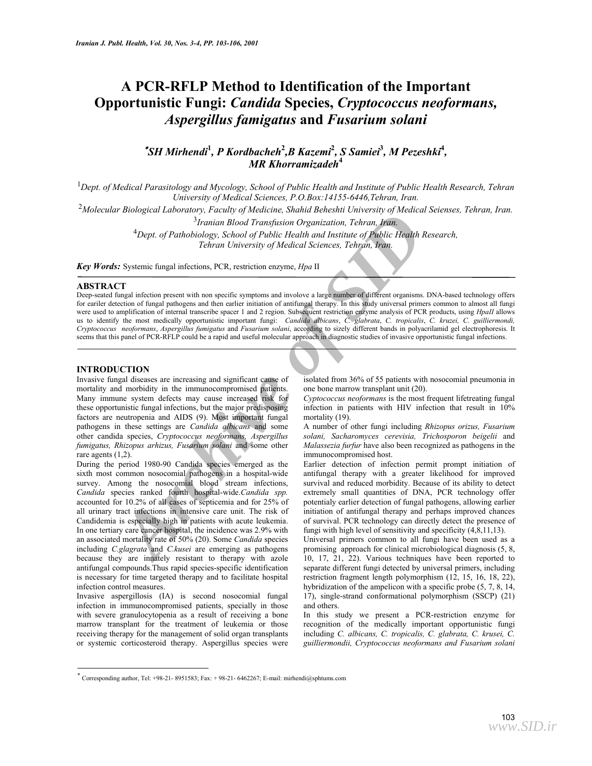### **A PCR-RFLP Method to Identification of the Important Opportunistic Fungi:** *Candida* **Species,** *Cryptococcus neoformans, Aspergillus famigatus* **and** *Fusarium solani*

#### ∗ *SH Mirhendi***<sup>1</sup>** *, P Kordbacheh***<sup>2</sup>** *,B Kazemi***<sup>2</sup>** *, S Samiei***<sup>3</sup>** *, M Pezeshki***<sup>4</sup>** *, MR Khorramizadeh***<sup>4</sup>**

<sup>1</sup> Dept. of Medical Parasitology and Mycology, School of Public Health and Institute of Public Health Research, Tehran *University of Medical Sciences, P.O.Box:14155-6446,Tehran, Iran.* 

<sup>2</sup>*Molecular Biological Laboratory, Faculty of Medicine, Shahid Beheshti University of Medical Seienses, Tehran, Iran.* 

<sup>3</sup>*Iranian Blood Transfusion Organization, Tehran, Iran.* 

4 *Dept. of Pathobiology, School of Public Health and Institute of Public Health Research, Tehran University of Medical Sciences, Tehran, Iran.* 

*Key Words:* Systemic fungal infections, PCR, restriction enzyme, *Hpa* II

#### **ABSTRACT**

Deep-seated fungal infection present with non specific symptoms and involove a large number of different organisms. DNA-based technology offers for eariler detection of fungal pathogens and then earlier initiation of antifungal therapy. In this study universal primers common to almost all fungi were used to amplification of internal transcribe spacer 1 and 2 region. Subsequent restriction enzyme analysis of PCR products, using *HpaII* allows us to identify the most medically opportunistic important fungi: *Candida albicans*, *C. glabrata*, *C. tropicalis*, *C. kruzei, C. guilliermondi, Cryptococcus neoformans*, *Aspergillus fumigatus* and *Fusarium solani*, according to sizely different bands in polyacrilamid gel electrophoresis. It seems that this panel of PCR-RFLP could be a rapid and useful molecular approach in diagnostic studies of invasive opportunistic fungal infections.

#### **INTRODUCTION**

Invasive fungal diseases are increasing and significant cause of mortality and morbidity in the immunocompromised patients. Many immune system defects may cause increased risk for these opportunistic fungal infections, but the major predisposing factors are neutropenia and AIDS (9). Most important fungal pathogens in these settings are *Candida albicans* and some other candida species, *Cryptococcus neoformans, Aspergillus fumigatus, Rhizopus arhizus, Fusarium solani* and some other rare agents (1,2).

*Archive State Laboratory, F. tettary of Medical Departmet, Jonath Detection of Pathelic Realt Research Control of Pathelic Realt Research Control of Pathelic Realt Tehran University of Medical Sciences, Tehran, Vanic Tehr* During the period 1980-90 Candida species emerged as the sixth most common nosocomial pathogens in a hospital-wide survey. Among the nosocomial blood stream infections, *Candida* species ranked fourth hospital-wide.*Candida spp.*  accounted for 10.2% of all cases of septicemia and for 25% of all urinary tract infections in intensive care unit. The risk of Candidemia is especially high in patients with acute leukemia. In one tertiary care cancer hospital, the incidence was 2.9% with an associated mortality rate of 50% (20). Some *Candida* species including *C.glagrata* and *C.kusei* are emerging as pathogens because they are innately resistant to therapy with azole antifungal compounds.Thus rapid species-specific identification is necessary for time targeted therapy and to facilitate hospital infection control measures.

Invasive aspergillosis (IA) is second nosocomial fungal infection in immunocompromised patients, specially in those with severe granulocytopenia as a result of receiving a bone marrow transplant for the treatment of leukemia or those receiving therapy for the management of solid organ transplants or systemic corticosteroid therapy. Aspergillus species were

isolated from 36% of 55 patients with nosocomial pneumonia in one bone marrow transplant unit (20).

*Cyptococcus neoformans* is the most frequent lifetreating fungal infection in patients with HIV infection that result in 10% mortality (19).

A number of other fungi including *Rhizopus orizus, Fusarium solani, Sacharomyces cerevisia, Trichosporon beigelii* and *Malassezia furfur* have also been recognized as pathogens in the immunocompromised host.

Earlier detection of infection permit prompt initiation of antifungal therapy with a greater likelihood for improved survival and reduced morbidity. Because of its ability to detect extremely small quantities of DNA, PCR technology offer potentialy earlier detection of fungal pathogens, allowing earlier initiation of antifungal therapy and perhaps improved chances of survival. PCR technology can directly detect the presence of fungi with high level of sensitivity and specificity (4,8,11,13).

Universal primers common to all fungi have been used as a promising approach for clinical microbiological diagnosis (5, 8, 10, 17, 21, 22). Various techniques have been reported to separate different fungi detected by universal primers, including restriction fragment length polymorphism (12, 15, 16, 18, 22), hybridization of the ampelicon with a specific probe  $(5, 7, 8, 14, 14)$ 17), single-strand conformational polymorphism (SSCP) (21) and others.

In this study we present a PCR-restriction enzyme for recognition of the medically important opportunistic fungi including *C. albicans, C. tropicalis, C. glabrata, C. krusei, C. guilliermondii, Cryptococcus neoformans and Fusarium solani* 

Corresponding author, Tel: +98-21- 8951583; Fax: + 98-21- 6462267; E-mail: mirhendi@sphtums.com <sup>∗</sup>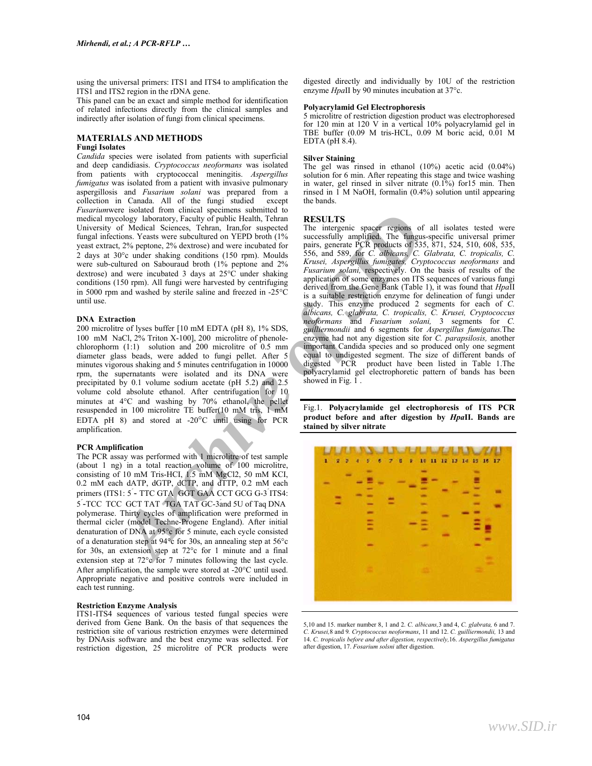using the universal primers: ITS1 and ITS4 to amplification the ITS1 and ITS2 region in the rDNA gene.

This panel can be an exact and simple method for identification of related infections directly from the clinical samples and indirectly after isolation of fungi from clinical specimens.

#### **MATERIALS AND METHODS**

#### **Fungi Isolates**

*Candida* species were isolated from patients with superficial and deep candidiasis. *Cryptococcus neoformans* was isolated from patients with cryptococcal meningitis. *Aspergillus fumigatus* was isolated from a patient with invasive pulmonary aspergillosis and *Fusarium solani* was prepared from a collection in Canada. All of the fungi studied except *Fusarium*were isolated from clinical specimens submitted to medical mycology laboratory, Faculty of public Health, Tehran University of Medical Sciences, Tehran, Iran,for suspected fungal infections. Yeasts were subcultured on YEPD broth (1% yeast extract, 2% peptone, 2% dextrose) and were incubated for 2 days at 30°c under shaking conditions (150 rpm). Moulds were sub-cultured on Sabouraud broth (1% peptone and 2% dextrose) and were incubated 3 days at 25°C under shaking conditions (150 rpm). All fungi were harvested by centrifuging in 5000 rpm and washed by sterile saline and freezed in -25°C until use.

#### **DNA Extraction**

200 microlitre of lyses buffer [10 mM EDTA (pH 8), 1% SDS, 100 mM NaCl, 2% Triton X-100], 200 microlitre of phenolechlorophorm (1:1) solution and 200 microlitre of 0.5 mm diameter glass beads, were added to fungi pellet. After 5 minutes vigorous shaking and 5 minutes centrifugation in 10000 rpm, the supernatants were isolated and its DNA were precipitated by 0.1 volume sodium acetate (pH 5.2) and 2.5 volume cold absolute ethanol. After centrifugation for 10 minutes at 4°C and washing by 70% ethanol, the pellet resuspended in 100 microlitre TE buffer(10 mM tris, 1 mM EDTA pH 8) and stored at -20°C until using for PCR amplification.

#### **PCR Amplification**

The PCR assay was performed with 1 microlitre of test sample (about 1 ng) in a total reaction volume of 100 microlitre, consisting of 10 mM Tris-HCI, 1.5 mM MgCl2, 50 mM KCI, 0.2 mM each dATP, dGTP, dCTP, and dTTP, 0.2 mM each primers (ITS1: 5 - TTC GTA GGT GAA CCT GCG G-3 ITS4: 5َ-TCC TCC GCT TAT TGA TAT GC-3َand 5U of Taq DNA polymerase. Thirty cycles of amplification were preformed in thermal cicler (model Techne-Progene England). After initial denaturation of DNA at 95°c for 5 minute, each cycle consisted of a denaturation step at 94°c for 30s, an annealing step at 56°c for 30s, an extension step at 72°c for 1 minute and a final extension step at 72°c for 7 minutes following the last cycle. After amplification, the sample were stored at -20°C until used. Appropriate negative and positive controls were included in each test running.

#### **Restriction Enzyme Analysis**

ITS1-ITS4 sequences of various tested fungal species were derived from Gene Bank. On the basis of that sequences the restriction site of various restriction enzymes were determined by DNAsis software and the best enzyme was sellected. For restriction digestion, 25 microlitre of PCR products were

digested directly and individually by 10U of the restriction enzyme *Hpa*II by 90 minutes incubation at 37°c.

#### **Polyacrylamid Gel Electrophoresis**

5 microlitre of restriction digestion product was electrophoresed for 120 min at 120 V in a vertical 10% polyacrylamid gel in TBE buffer (0.09 M tris-HCL, 0.09 M boric acid, 0.01 M EDTA  $(pH 8.4)$ .

#### **Silver Staining**

The gel was rinsed in ethanol (10%) acetic acid (0.04%) solution for 6 min. After repeating this stage and twice washing in water, gel rinsed in silver nitrate (0.1%) for15 min. Then rinsed in  $\tilde{1}$  M NaOH, formalin (0.4%) solution until appearing the bands.

#### **RESULTS**

colour babyaton, C. grady of the state of the state of the state of the state of the state and the state and of SID and SY and SP and SP and SP and SP and SP and SP and SP and SP and SP and SP and SP and SP and SP and SP a The intergenic spacer regions of all isolates tested were successfully amplified. The fungus-specific universal primer pairs, generate PCR products of 535, 871, 524, 510, 608, 535, 556, and 589, for *C. albicans, C. Glabrata, C. tropicalis, C. Krusei, Aspergillus fumigates, Cryptococcus neoformans* and *Fusarium solani,* respectively. On the basis of results of the application of some enzymes on ITS sequences of various fungi derived from the Gene Bank (Table 1), it was found that *Hpa*II is a suitable restriction enzyme for delineation of fungi under study. This enzyme produced 2 segments for each of *C. albicans, C. glabrata, C. tropicalis, C. Krusei, Cryptococcus neoformans* and *Fusarium solani,* 3 segments for *C. guilliermondii* and 6 segments for *Aspergillus fumigatus.*The enzyme had not any digestion site for *C. parapsilosis,* another important Candida species and so produced only one segment equal to undigested segment. The size of different bands of digested PCR product have been listed in Table 1.The polyacrylamid gel electrophoretic pattern of bands has been showed in Fig.  $1$ .

Fig.1. **Polyacrylamide gel electrophoresis of ITS PCR product before and after digestion by** *Hpa***II. Bands are stained by silver nitrate** 



5,10 and 15. marker number 8, 1 and 2. *C. albicans,*3 and 4, *C. glabrata,* 6 and 7. *C. Krusei,*8 and 9*. Cryptococcus neoformans*, 11 and 12. *C. guilliermondii,* 13 and 14. *C. tropicalis before and after digestion, respectively,*16. *Aspergillus fumigatus*  after digestion, 17. *Fosarium solsni* after digestion.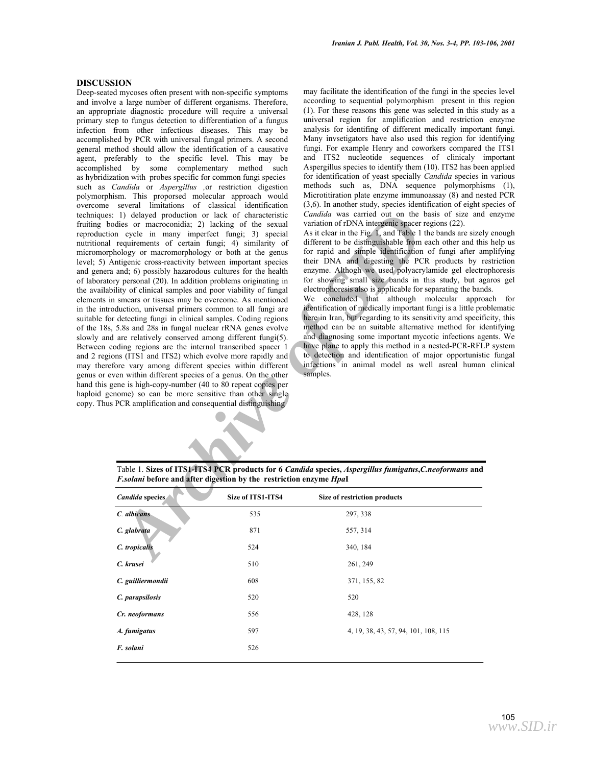#### **DISCUSSION**

*A*) delayed production or lack of characteristic *Candida* was carried out on the basis can<br>bise or macroconida; 2) lacking of the sexual variation of rDNA integering space region<br>requirements of certain farge i,  $\gamma$  sig Deep-seated mycoses often present with non-specific symptoms and involve a large number of different organisms. Therefore, an appropriate diagnostic procedure will require a universal primary step to fungus detection to differentiation of a fungus infection from other infectious diseases. This may be accomplished by PCR with universal fungal primers. A second general method should allow the identification of a causative agent, preferably to the specific level. This may be accomplished by some complementary method such as hybridization with probes specific for common fungi species such as *Candida* or *Aspergillus ,*or restriction digestion polymorphism. This proporsed molecular approach would overcome several limitations of classical identification techniques: 1) delayed production or lack of characteristic fruiting bodies or macroconidia; 2) lacking of the sexual reproduction cycle in many imperfect fungi; 3) special nutritional requirements of certain fungi; 4) similarity of micromorphology or macromorphology or both at the genus level; 5) Antigenic cross-reactivity between important species and genera and; 6) possibly hazarodous cultures for the health of laboratory personal (20). In addition problems originating in the availability of clinical samples and poor viability of fungal elements in smears or tissues may be overcome. As mentioned in the introduction, universal primers common to all fungi are suitable for detecting fungi in clinical samples. Coding regions of the 18s, 5.8s and 28s in fungal nuclear rRNA genes evolve slowly and are relatively conserved among different fungi(5). Between coding regions are the internal transcribed spacer 1 and 2 regions (ITS1 and ITS2) which evolve more rapidly and may therefore vary among different species within different genus or even within different species of a genus. On the other hand this gene is high-copy-number (40 to 80 repeat copies per haploid genome) so can be more sensitive than other single copy. Thus PCR amplification and consequential distinguishing

may facilitate the identification of the fungi in the species level according to sequential polymorphism present in this region (1). For these reasons this gene was selected in this study as a universal region for amplification and restriction enzyme analysis for identifing of different medically important fungi. Many invsetigators have also used this region for identifying fungi. For example Henry and coworkers compared the ITS1 and ITS2 nucleotide sequences of clinicaly important Aspergillus species to identify them (10). ITS2 has been applied for identification of yeast specially *Candida* species in various methods such as, DNA sequence polymorphisms (1), Microtitiration plate enzyme immunoassay (8) and nested PCR (3,6). In another study, species identification of eight species of *Candida* was carried out on the basis of size and enzyme variation of rDNA intergenic spacer regions (22).

As it clear in the Fig. 1, and Table 1 the bands are sizely enough different to be distinguishable from each other and this help us for rapid and simple identification of fungi after amplifying their DNA and digesting the PCR products by restriction enzyme. Althogh we used polyacrylamide gel electrophoresis for showing small size bands in this study, but agaros gel electrophoresis also is applicable for separating the bands.

We concluded that although molecular approach for identification of medically important fungi is a little problematic here in Iran, but regarding to its sensitivity amd specificity, this method can be an suitable alternative method for identifying and diagnosing some important mycotic infections agents. We have plane to apply this method in a nested-PCR-RFLP system to detection and identification of major opportunistic fungal infections in animal model as well asreal human clinical samples.

Table 1. **Sizes of ITS1-ITS4 PCR products for 6** *Candida* **species,** *Aspergillus fumigatus***,***C.neoformans* **and**  *F.solani* **before and after digestion by the restriction enzyme** *Hpa***I**

| Candida species   | Size of ITS1-ITS4 | Size of restriction products         |
|-------------------|-------------------|--------------------------------------|
| C. albicans       | 535               | 297, 338                             |
| C. glabrata       | 871               | 557, 314                             |
| C. tropicalis     | 524               | 340, 184                             |
| C. krusei         | 510               | 261, 249                             |
| C. guilliermondii | 608               | 371, 155, 82                         |
| C. parapsilosis   | 520               | 520                                  |
| Cr. neoformans    | 556               | 428, 128                             |
| A. fumigatus      | 597               | 4, 19, 38, 43, 57, 94, 101, 108, 115 |
| F. solani         | 526               |                                      |
|                   |                   |                                      |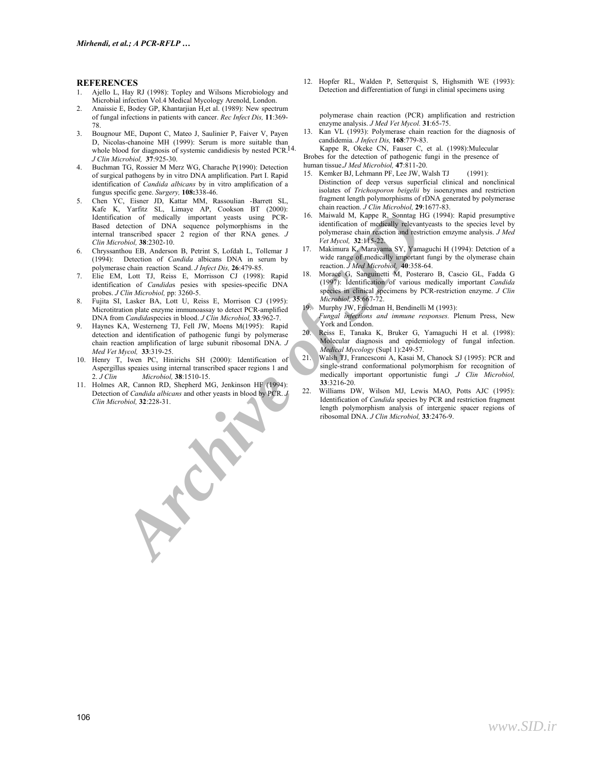#### **REFERENCES**

- 1. Ajello L, Hay RJ (1998): Topley and Wilsons Microbiology and Microbial infection Vol.4 Medical Mycology Arenold, London.
- 2. Anaissie E, Bodey GP, Khantarjian H,et al. (1989): New spectrum of fungal infections in patients with cancer. *Rec Infect Dis,* **11**:369- 78.
- 3. Bougnour ME, Dupont C, Mateo J, Saulinier P, Faiver V, Payen D, Nicolas-chanoine MH (1999): Serum is more suitable than whole blood for diagnosis of systemic candidiesis by nested PCR.<sup>14</sup>. *J Clin Microbiol,* **37**:925-30.
- 4. Buchman TG, Rossier M Merz WG, Charache P(1990): Detection of surgical pathogens by in vitro DNA amplification. Part I. Rapid identification of *Candida albicans* by in vitro amplification of a fungus specific gene. *Surgery,* **108:**338-46.
- ation of readically important vestes using Preys. 16. Mainvall M, Kappe R, Somina Ric (1994)<br> *Archive of DNA* sequence polyntophisms in the identification of modellaly relevant<br>vested space and restriction of DNA sequence 5. Chen YC, Eisner JD, Kattar MM, Rassoulian -Barrett SL, Kafe K, Yarfitz SL, Limaye AP, Cookson BT (2000): Identification of medically important yeasts using PCR-Based detection of DNA sequence polymorphisms in the internal transcribed spacer 2 region of ther RNA genes. *J Clin Microbiol,* **38**:2302-10.
- 6. Chryssanthou EB, Anderson B, Petrint S, Lofdah L, Tollemar J (1994): Detection of *Candida* albicans DNA in serum by polymerase chain reaction Scand. *J Infect Dis,* **26**:479-85.
- 7. Elie EM, Lott TJ, Reiss E, Morrisson CJ (1998): Rapid identification of *Candida*s pesies with spesies-specific DNA probes. *J Clin Microbiol,* pp: 3260-5.
- 8. Fujita SI, Lasker BA, Lott U, Reiss E, Morrison CJ (1995): Microtitration plate enzyme immunoassay to detect PCR-amplified DNA from *Candida*species in blood. *J Clin Microbiol,* **33**:962-7.
- 9. Haynes KA, Westerneng TJ, Fell JW, Moens M(1995): Rapid detection and identification of pathogenic fungi by polymerase chain reaction amplification of large subunit ribosomal DNA. *J Med Vet Mycol,* **33**:319-25.
- 10. Henry T, Iwen PC, Hinirichs SH (2000): Identification of Aspergillus speaies using internal transcribed spacer regions 1 and 2. *J Clin Microbiol,* **38**:1510-15.
- 11. Holmes AR, Cannon RD, Shepherd MG, Jenkinson HF (1994): Detection of *Candida albicans* and other yeasts in blood by PCR. *J Clin Microbiol,* **32**:228-31.

12. Hopfer RL, Walden P, Setterquist S, Highsmith WE (1993): Detection and differentiation of fungi in clinial specimens using

polymerase chain reaction (PCR) amplification and restriction enzyme analysis. *J Med Vet Mycol.* **31**:65-75.

13. Kan VL (1993): Polymerase chain reaction for the diagnosis of candidemia. *J Infect Dis,* **168**:779-83.

Kappe R, Okeke CN, Fauser C, et al. (1998):Mulecular Brobes for the detection of pathogenic fungi in the presence of human tissue.*J Med Microbiol,* **47**:811-20.

- 
- 15. Kemker BJ, Lehmann PF, Lee JW, Walsh TJ (1991): Distinction of deep versus superficial clinical and nonclinical isolates of *Trichosporon beigelii* by isoenzymes and restriction fragment length polymorphisms of rDNA generated by polymerase chain reaction. *J Clin Microbiol,* **29**:1677-83.
- 16. Maiwald M, Kappe R, Sonntag HG (1994): Rapid presumptive identification of medically relevantyeasts to the species level by polymerase chain reaction and restriction emzyme analysis. *J Med Vet Mycol,* **32**:115-22.
- 17. Makimura K, Marayama SY, Yamaguchi H (1994): Detction of a wide range of medically important fungi by the olymerase chain reaction. *J Med Microbiol,* **40**:358-64.
- 18. Morace G, Sanguinetti M, Posteraro B, Cascio GL, Fadda G (1997): Identification of various medically important *Candida*  species in clinical specimens by PCR-restriction enzyme. *J Clin Microbiol,* **35**:667-72.

19. Murphy JW, Friedman H, Bendinelli M (1993):

- *Fungal infections and immune responses.* Plenum Press, New York and London.
- 20. Reiss E, Tanaka K, Bruker G, Yamaguchi H et al. (1998): Molecular diagnosis and epidemiology of fungal infection. *Medical Mycology* (Supl 1):249-57.
- 21. Walsh TJ, Francesconi A, Kasai M, Chanock SJ (1995): PCR and single-strand conformational polymorphism for recognition of medically important opportunistic fungi .*J Clin Microbiol,*  **33**:3216-20.
- 22. Williams DW, Wilson MJ, Lewis MAO, Potts AJC (1995): Identification of *Candida* species by PCR and restriction fragment length polymorphism analysis of intergenic spacer regions of ribosomal DNA. *J Clin Microbiol,* **33**:2476-9.